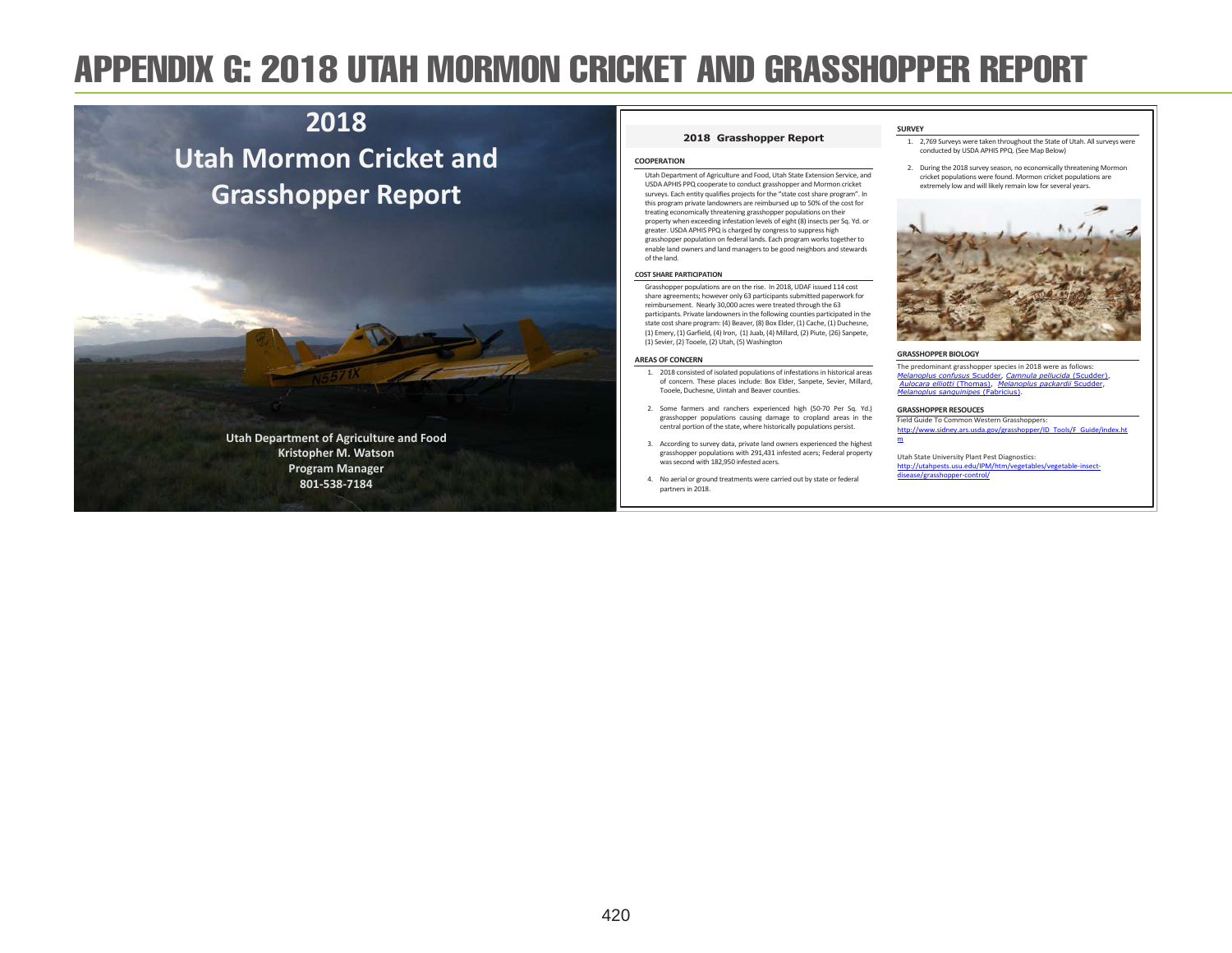# APPENDIX G: 2018 UTAH MORMON CRICKET AND GRASSHOPPER REPORT

## **2018 Utah Mormon Cricket and Grasshopper Report**

**Utah Department of Agriculture and Food Kristopher M. Watson Program Manager 801-538-7184** 

#### **2018 Grasshopper Report**

#### **COOPERATION**

Utah Department of Agriculture and Food, Utah State Extension Service, and USDA APHIS PPQ cooperate to conduct grasshopper and Mormon cricket surveys. Each entity qualifies projects for the "state cost share program". In this program private landowners are reimbursed up to 50% of the cost for treating economically threatening grasshopper populations on their property when exceeding infestation levels of eight (8) insects per Sq. Yd. or greater. USDA APHIS PPQ is charged by congress to suppress high grasshopper population on federal lands. Each program works together to enable land owners and land managers to be good neighbors and stewards of the land.

#### **COST SHARE PARTICIPATION**

Grasshopper populations are on the rise. In 2018, UDAF issued 114 cost share agreements; however only 63 participants submitted paperwork for reimbursement. Nearly 30,000 acres were treated through the 63 participants. Private landowners in the following counties participated in the state cost share program: (4) Beaver, (8) Box Elder, (1) Cache, (1) Duchesne, (1) Emery, (1) Garfield, (4) Iron, (1) Juab, (4) Millard, (2) Piute, (26) Sanpete, (1) Sevier, (2) Tooele, (2) Utah, (5) Washington

#### **AREAS OF CONCERN**

- 1. 2018 consisted of isolated populations of infestations in historical areas of concern. These places include: Box Elder, Sanpete, Sevier, Millard, Tooele, Duchesne, Uintah and Beaver counties.
- 2. Some farmers and ranchers experienced high (50-70 Per Sq. Yd.) grasshopper populations causing damage to cropland areas in the central portion of the state, where historically populations persist.
- 3. According to survey data, private land owners experienced the highest grasshopper populations with 291,431 infested acers; Federal property was second with 182,950 infested acers.
- 4. No aerial or ground treatments were carried out by state or federal partners in 2018.
- 1. 2,769 Surveys were taken throughout the State of Utah. All surveys were
- conducted by USDA APHIS PPQ. (See Map Below)
- 2. During the 2018 survey season, no economically threatening Mormon cricket populations were found. Mormon cricket populations are extremely low and will likely remain low for several years.



#### **GRASSHOPPER BIOLOGY**

**SURVEY** 

The predominant grasshopper species in 2018 were as follows: *Melanoplus confusus* Scudder, *Camnula pellucida* (Scudder), *Aulocara elliotti* (Thomas), *Melanoplus packardii* Scudder, *Melanoplus sanguinipes* (Fabricius).

#### **GRASSHOPPER RESOUCES**

Field Guide To Common Western Grasshoppers: http://www.sidney.ars.usda.gov/grasshopper/ID\_Tools/F\_Guide/index.ht m

Utah State University Plant Pest Diagnostics: http://utahpests.usu.edu/IPM/htm/ disease/grasshopper-control/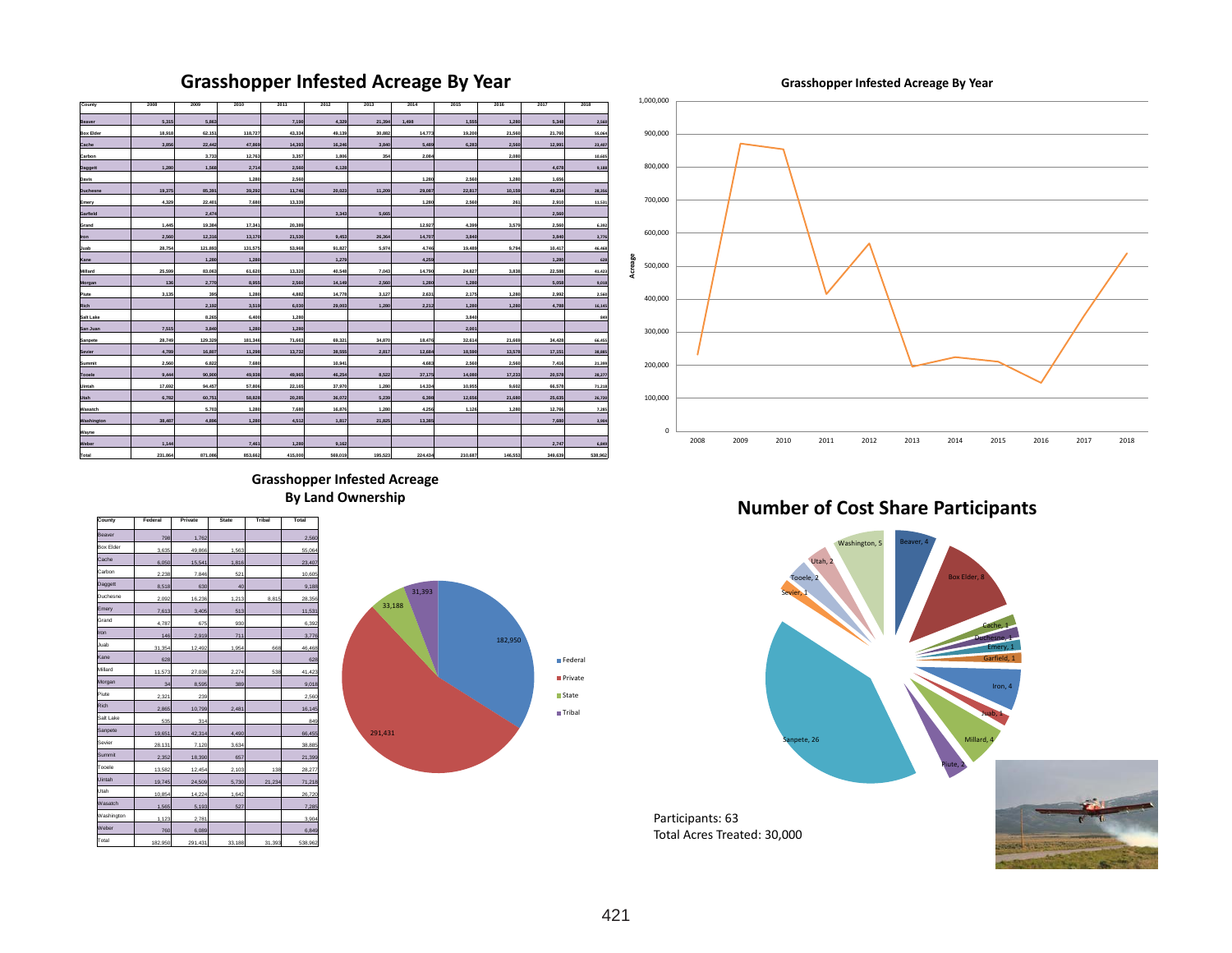### **Grasshopper Infested Acreage By Year**

**Grasshopper Infested Acreage By Year** 



**Grasshopper Infested Acreage By Land Ownership**

| County           | Federal | Private | <b>State</b> | <b>Tribal</b> | Total   |
|------------------|---------|---------|--------------|---------------|---------|
| Beaver           | 798     | 1.762   |              |               | 2,560   |
| <b>Box Elder</b> | 3.635   | 49,866  | 1.563        |               | 55.064  |
| Cache            | 6.050   | 15.541  | 1.816        |               | 23,407  |
| Carbon           | 2,238   | 7,846   | 521          |               | 10,605  |
| Daggett          | 8,518   | 630     | 40           |               | 9,188   |
| Duchesne         | 2,092   | 16,236  | 1,213        | 8.815         | 28,356  |
| Emery            | 7.613   | 3.405   | 513          |               | 11,531  |
| Grand            | 4.787   | 675     | 930          |               | 6.392   |
| Iron             | 146     | 2,919   | 711          |               | 3,776   |
| Juah             | 31.354  | 12.492  | 1.954        | 668           | 46.468  |
| Kane             | 628     |         |              |               | 628     |
| Millard          | 11.573  | 27.038  | 2.274        | 538           | 41.423  |
| Morgan           | 34      | 8.595   | 389          |               | 9.018   |
| Piute            | 2,321   | 239     |              |               | 2,560   |
| Rich             | 2,865   | 10,799  | 2,481        |               | 16,145  |
| Salt Lake        | 535     | 314     |              |               | 849     |
| Sanpete          | 19,651  | 42,314  | 4,490        |               | 66,455  |
| Sevier           | 28.131  | 7.120   | 3.634        |               | 38,885  |
| Summit           | 2.352   | 18,390  | 657          |               | 21,399  |
| Topele           | 13,582  | 12,454  | 2,103        | 138           | 28,277  |
| Uintah           | 19.745  | 24.509  | 5.730        | 21,234        | 71,218  |
| Utah             | 10.854  | 14,224  | 1.642        |               | 26.720  |
| Wasatch          | 1.565   | 5.193   | 527          |               | 7.285   |
| Washington       | 1.123   | 2.781   |              |               | 3.904   |
| Weber            | 760     | 6.089   |              |               | 6.849   |
| Total            | 182,950 | 291,431 | 33,188       | 31,393        | 538,962 |
|                  |         |         |              |               |         |





**Number of Cost Share Participants**